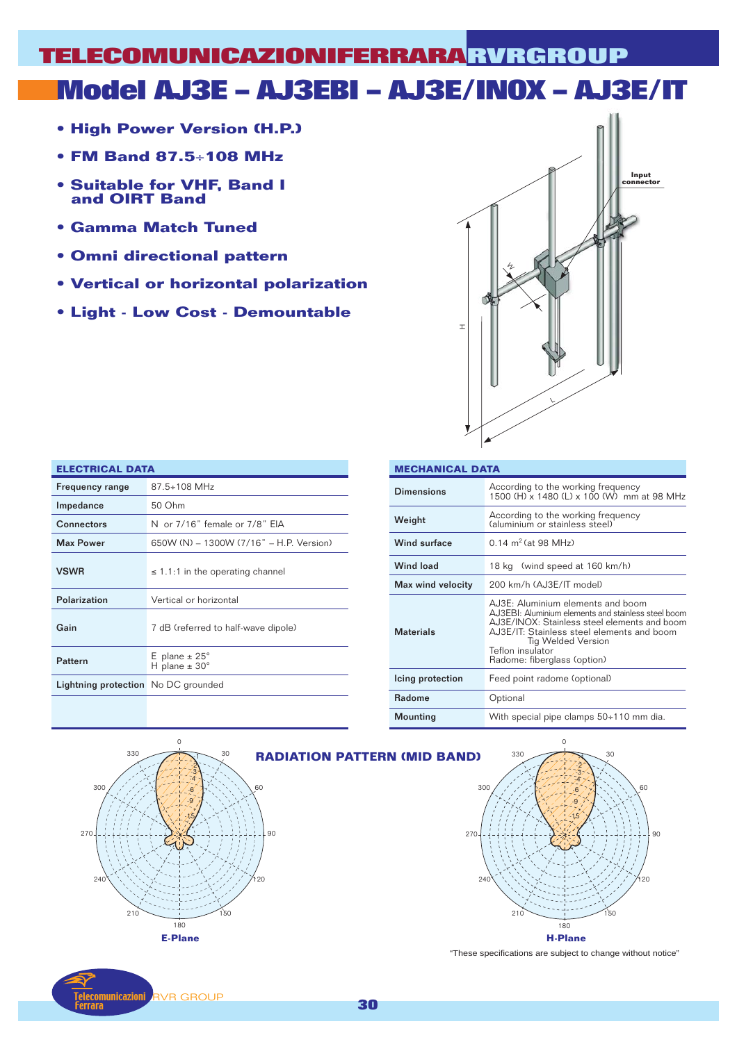# **Model AJ3E – AJ3EBI – AJ3E/INOX – AJ3E/IT TELECOMUNICAZIONIFERRARA RVRGROUP**

- **High Power Version (H.P.)**
- **FM Band 87.5**÷**108 MHz**
- **Suitable for VHF, Band I and OIRT Band**
- **Gamma Match Tuned**
- **Omni directional pattern**
- **Vertical or horizontal polarization**
- **Light Low Cost Demountable**



| <b>ELECTRICAL DATA</b>              |                                                       |  |  |  |  |  |
|-------------------------------------|-------------------------------------------------------|--|--|--|--|--|
| <b>Frequency range</b>              | $87.5 \div 108$ MHz                                   |  |  |  |  |  |
| Impedance                           | 50 Ohm                                                |  |  |  |  |  |
| Connectors                          | N or 7/16" female or 7/8" EIA                         |  |  |  |  |  |
| <b>Max Power</b>                    | 650W (N) - 1300W (7/16" - H.P. Version)               |  |  |  |  |  |
| <b>VSWR</b>                         | $\leq$ 1.1:1 in the operating channel                 |  |  |  |  |  |
| Polarization                        | Vertical or horizontal                                |  |  |  |  |  |
| Gain                                | 7 dB (referred to half-wave dipole)                   |  |  |  |  |  |
| Pattern                             | E plane $\pm 25^\circ$<br>H plane $\pm$ 30 $^{\circ}$ |  |  |  |  |  |
| Lightning protection No DC grounded |                                                       |  |  |  |  |  |

nunicazioni

**RVR GROUP** 

| <b>MECHANICAL DATA</b> |                                                                                                                                                                                                                                                                 |  |  |  |  |  |  |
|------------------------|-----------------------------------------------------------------------------------------------------------------------------------------------------------------------------------------------------------------------------------------------------------------|--|--|--|--|--|--|
| Dimensions             | According to the working frequency<br>$1500$ (H) $\times$ 1480 (L) $\times$ 100 (W) mm at 98 MHz                                                                                                                                                                |  |  |  |  |  |  |
| Weight                 | According to the working frequency<br>(aluminium or stainless steel)                                                                                                                                                                                            |  |  |  |  |  |  |
| Wind surface           | $0.14 \text{ m}^2$ (at 98 MHz)                                                                                                                                                                                                                                  |  |  |  |  |  |  |
| <b>Wind load</b>       | 18 kg (wind speed at 160 km/h)                                                                                                                                                                                                                                  |  |  |  |  |  |  |
| Max wind velocity      | 200 km/h (AJ3E/IT model)                                                                                                                                                                                                                                        |  |  |  |  |  |  |
| <b>Materials</b>       | AJ3E: Aluminium elements and boom<br>AJ3EBI: Aluminium elements and stainless steel boom<br>AJ3E/INOX: Stainless steel elements and boom<br>AJ3E/IT: Stainless steel elements and boom<br>Tig Welded Version<br>Teflon insulator<br>Radome: fiberglass (option) |  |  |  |  |  |  |
| Icing protection       | Feed point radome (optional)                                                                                                                                                                                                                                    |  |  |  |  |  |  |
| <b>Radome</b>          | Optional                                                                                                                                                                                                                                                        |  |  |  |  |  |  |
| Mounting               | With special pipe clamps $50+110$ mm dia.                                                                                                                                                                                                                       |  |  |  |  |  |  |